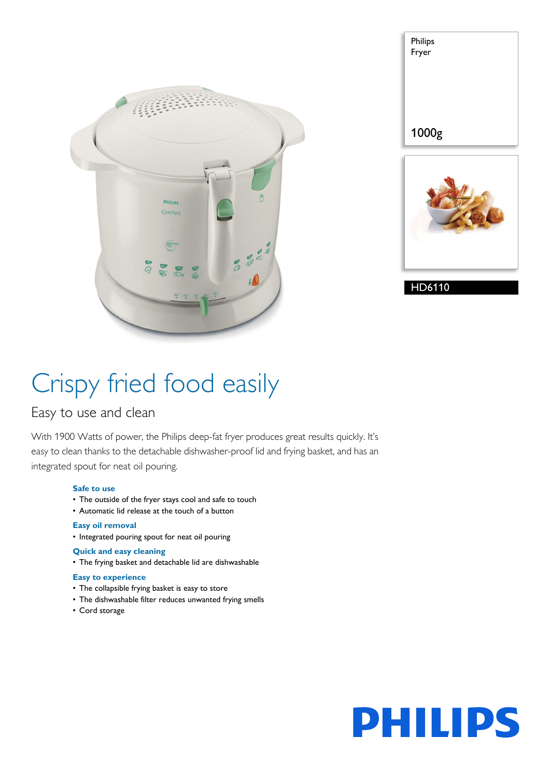

| Philips<br>Fryer |  |
|------------------|--|
| 1000g            |  |
|                  |  |

HD6110

# Crispy fried food easily

### Easy to use and clean

With 1900 Watts of power, the Philips deep-fat fryer produces great results quickly. It's easy to clean thanks to the detachable dishwasher-proof lid and frying basket, and has an integrated spout for neat oil pouring.

#### **Safe to use**

- The outside of the fryer stays cool and safe to touch
- Automatic lid release at the touch of a button

#### **Easy oil removal**

• Integrated pouring spout for neat oil pouring

#### **Quick and easy cleaning**

• The frying basket and detachable lid are dishwashable

#### **Easy to experience**

- The collapsible frying basket is easy to store
- The dishwashable filter reduces unwanted frying smells
- Cord storage